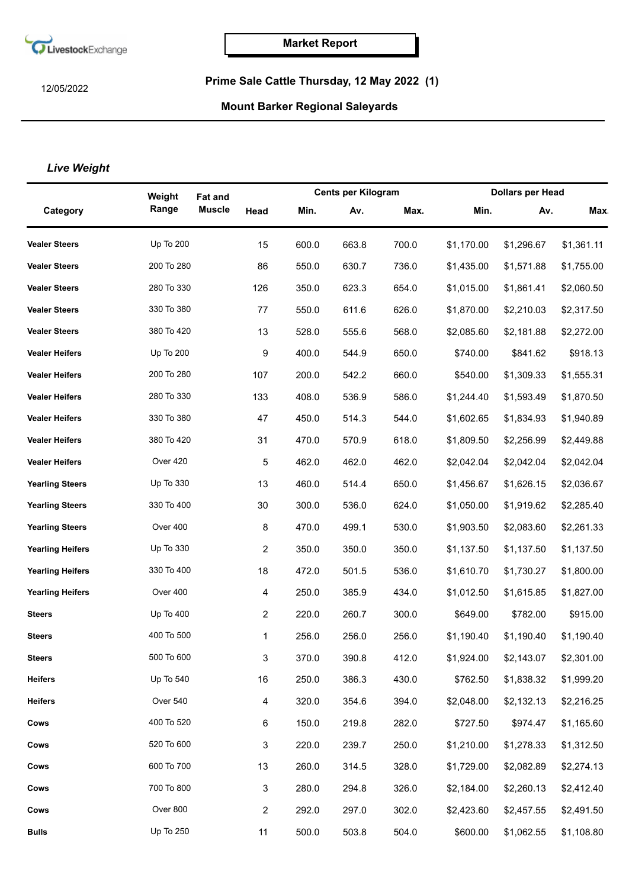

12/05/2022

## **Prime Sale Cattle Thursday, 12 May 2022 (1)**

## **Mount Barker Regional Saleyards**

## *Live Weight*

|                         | Weight           | <b>Fat and</b> |                |       | <b>Cents per Kilogram</b> |       |            | <b>Dollars per Head</b> |            |  |
|-------------------------|------------------|----------------|----------------|-------|---------------------------|-------|------------|-------------------------|------------|--|
| Category                | Range            | <b>Muscle</b>  | Head           | Min.  | Av.                       | Max.  | Min.       | Av.                     | <b>Max</b> |  |
| <b>Vealer Steers</b>    | <b>Up To 200</b> |                | 15             | 600.0 | 663.8                     | 700.0 | \$1,170.00 | \$1,296.67              | \$1,361.11 |  |
| <b>Vealer Steers</b>    | 200 To 280       |                | 86             | 550.0 | 630.7                     | 736.0 | \$1,435.00 | \$1,571.88              | \$1,755.00 |  |
| <b>Vealer Steers</b>    | 280 To 330       |                | 126            | 350.0 | 623.3                     | 654.0 | \$1,015.00 | \$1,861.41              | \$2,060.50 |  |
| <b>Vealer Steers</b>    | 330 To 380       |                | 77             | 550.0 | 611.6                     | 626.0 | \$1,870.00 | \$2,210.03              | \$2,317.50 |  |
| <b>Vealer Steers</b>    | 380 To 420       |                | 13             | 528.0 | 555.6                     | 568.0 | \$2,085.60 | \$2,181.88              | \$2,272.00 |  |
| <b>Vealer Heifers</b>   | Up To 200        |                | 9              | 400.0 | 544.9                     | 650.0 | \$740.00   | \$841.62                | \$918.13   |  |
| <b>Vealer Heifers</b>   | 200 To 280       |                | 107            | 200.0 | 542.2                     | 660.0 | \$540.00   | \$1,309.33              | \$1,555.31 |  |
| <b>Vealer Heifers</b>   | 280 To 330       |                | 133            | 408.0 | 536.9                     | 586.0 | \$1,244.40 | \$1,593.49              | \$1,870.50 |  |
| <b>Vealer Heifers</b>   | 330 To 380       |                | 47             | 450.0 | 514.3                     | 544.0 | \$1,602.65 | \$1,834.93              | \$1,940.89 |  |
| <b>Vealer Heifers</b>   | 380 To 420       |                | 31             | 470.0 | 570.9                     | 618.0 | \$1,809.50 | \$2,256.99              | \$2,449.88 |  |
| <b>Vealer Heifers</b>   | Over 420         |                | 5              | 462.0 | 462.0                     | 462.0 | \$2,042.04 | \$2,042.04              | \$2,042.04 |  |
| <b>Yearling Steers</b>  | Up To 330        |                | 13             | 460.0 | 514.4                     | 650.0 | \$1,456.67 | \$1,626.15              | \$2,036.67 |  |
| <b>Yearling Steers</b>  | 330 To 400       |                | 30             | 300.0 | 536.0                     | 624.0 | \$1,050.00 | \$1,919.62              | \$2,285.40 |  |
| <b>Yearling Steers</b>  | Over 400         |                | 8              | 470.0 | 499.1                     | 530.0 | \$1,903.50 | \$2,083.60              | \$2,261.33 |  |
| <b>Yearling Heifers</b> | Up To 330        |                | 2              | 350.0 | 350.0                     | 350.0 | \$1,137.50 | \$1,137.50              | \$1,137.50 |  |
| <b>Yearling Heifers</b> | 330 To 400       |                | 18             | 472.0 | 501.5                     | 536.0 | \$1,610.70 | \$1,730.27              | \$1,800.00 |  |
| <b>Yearling Heifers</b> | Over 400         |                | $\overline{4}$ | 250.0 | 385.9                     | 434.0 | \$1,012.50 | \$1,615.85              | \$1,827.00 |  |
| <b>Steers</b>           | Up To 400        |                | 2              | 220.0 | 260.7                     | 300.0 | \$649.00   | \$782.00                | \$915.00   |  |
| <b>Steers</b>           | 400 To 500       |                | 1              | 256.0 | 256.0                     | 256.0 | \$1,190.40 | \$1,190.40              | \$1,190.40 |  |
| <b>Steers</b>           | 500 To 600       |                | 3              | 370.0 | 390.8                     | 412.0 | \$1,924.00 | \$2,143.07              | \$2,301.00 |  |
| <b>Heifers</b>          | Up To 540        |                | 16             | 250.0 | 386.3                     | 430.0 | \$762.50   | \$1,838.32              | \$1,999.20 |  |
| <b>Heifers</b>          | Over 540         |                | $\overline{4}$ | 320.0 | 354.6                     | 394.0 | \$2,048.00 | \$2,132.13              | \$2,216.25 |  |
| Cows                    | 400 To 520       |                | $\,6$          | 150.0 | 219.8                     | 282.0 | \$727.50   | \$974.47                | \$1,165.60 |  |
| Cows                    | 520 To 600       |                | 3              | 220.0 | 239.7                     | 250.0 | \$1,210.00 | \$1,278.33              | \$1,312.50 |  |
| Cows                    | 600 To 700       |                | 13             | 260.0 | 314.5                     | 328.0 | \$1,729.00 | \$2,082.89              | \$2,274.13 |  |
| Cows                    | 700 To 800       |                | 3              | 280.0 | 294.8                     | 326.0 | \$2,184.00 | \$2,260.13              | \$2,412.40 |  |
| Cows                    | Over 800         |                | $\overline{2}$ | 292.0 | 297.0                     | 302.0 | \$2,423.60 | \$2,457.55              | \$2,491.50 |  |
| <b>Bulls</b>            | Up To 250        |                | 11             | 500.0 | 503.8                     | 504.0 | \$600.00   | \$1,062.55              | \$1,108.80 |  |